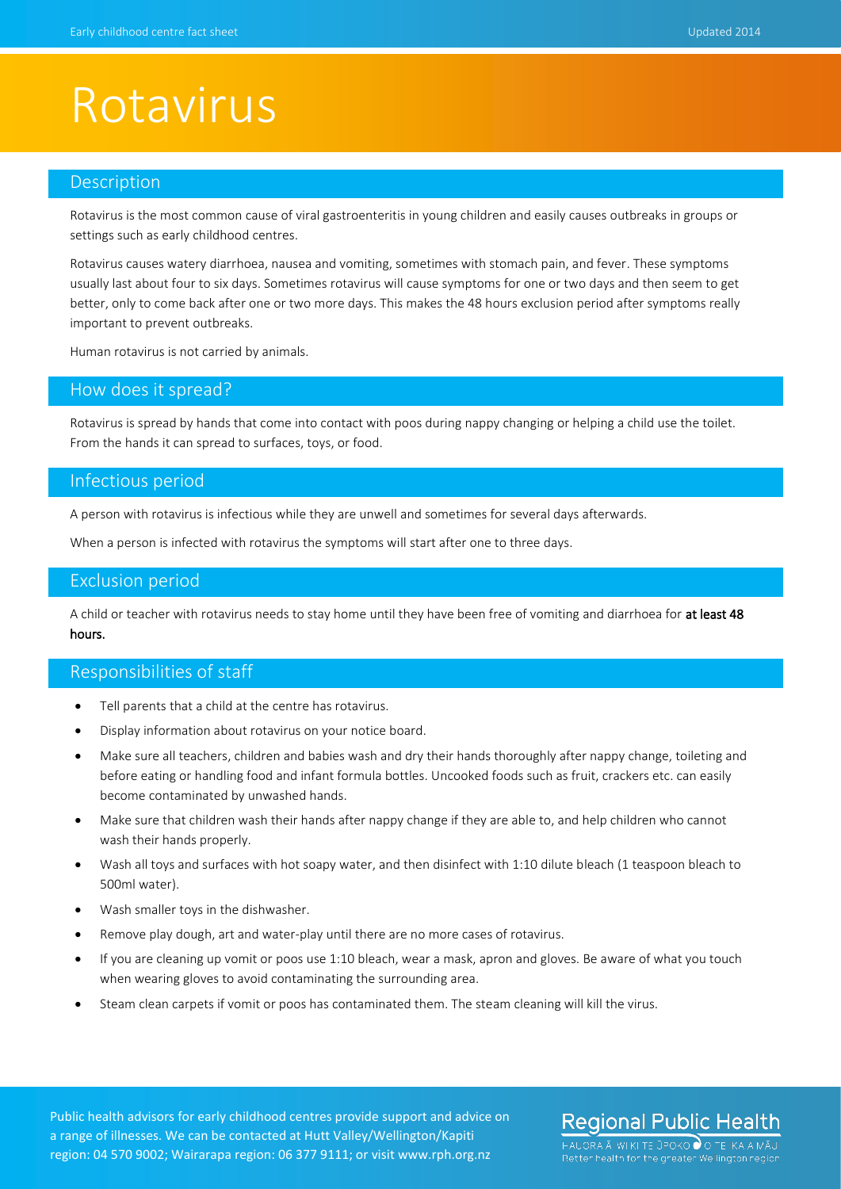## Rotavirus

### Description

Rotavirus is the most common cause of viral gastroenteritis in young children and easily causes outbreaks in groups or settings such as early childhood centres.

Rotavirus causes watery diarrhoea, nausea and vomiting, sometimes with stomach pain, and fever. These symptoms usually last about four to six days. Sometimes rotavirus will cause symptoms for one or two days and then seem to get better, only to come back after one or two more days. This makes the 48 hours exclusion period after symptoms really important to prevent outbreaks.

Human rotavirus is not carried by animals.

### How does it spread?

Rotavirus is spread by hands that come into contact with poos during nappy changing or helping a child use the toilet. From the hands it can spread to surfaces, toys, or food.

### Infectious period

A person with rotavirus is infectious while they are unwell and sometimes for several days afterwards.

When a person is infected with rotavirus the symptoms will start after one to three days.

### Exclusion period

A child or teacher with rotavirus needs to stay home until they have been free of vomiting and diarrhoea for at least 48 hours.

### Responsibilities of staff

- Tell parents that a child at the centre has rotavirus.
- Display information about rotavirus on your notice board.
- Make sure all teachers, children and babies wash and dry their hands thoroughly after nappy change, toileting and before eating or handling food and infant formula bottles. Uncooked foods such as fruit, crackers etc. can easily become contaminated by unwashed hands.
- Make sure that children wash their hands after nappy change if they are able to, and help children who cannot wash their hands properly.
- Wash all toys and surfaces with hot soapy water, and then disinfect with 1:10 dilute bleach (1 teaspoon bleach to 500ml water).
- Wash smaller toys in the dishwasher.
- Remove play dough, art and water-play until there are no more cases of rotavirus.
- If you are cleaning up vomit or poos use 1:10 bleach, wear a mask, apron and gloves. Be aware of what you touch when wearing gloves to avoid contaminating the surrounding area.
- Steam clean carpets if vomit or poos has contaminated them. The steam cleaning will kill the virus.

Public health advisors for early childhood centres provide support and advice on a range of illnesses. We can be contacted at Hutt Valley/Wellington/Kapiti region: 04 570 9002; Wairarapa region: 06 377 9111; or visit www.rph.org.nz

### **Regional Public Health**

HAUORA Ā IWI KI TE ŪPOKO Ù O TE IKA A MĀUI Better health for the greater Wellington region